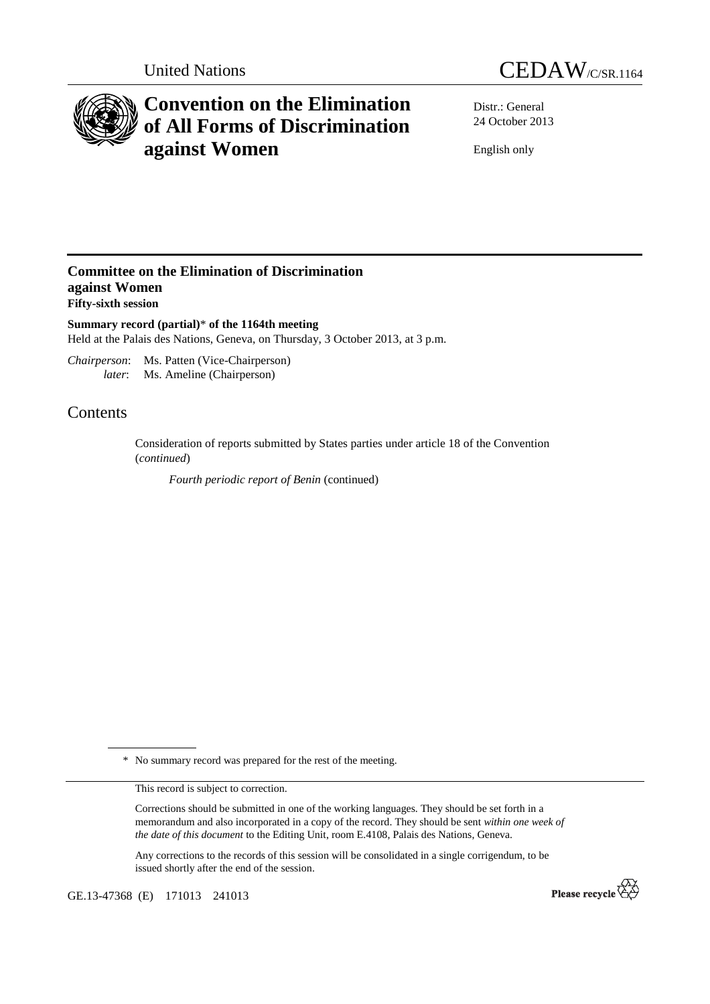



## **Convention on the Elimination of All Forms of Discrimination against Women**

Distr.: General 24 October 2013

English only

## **Committee on the Elimination of Discrimination against Women Fifty-sixth session**

**Summary record (partial)**\* **of the 1164th meeting**  Held at the Palais des Nations, Geneva, on Thursday, 3 October 2013, at 3 p.m.

*Chairperson*: Ms. Patten (Vice-Chairperson) *later*: Ms. Ameline (Chairperson)

## Contents

Consideration of reports submitted by States parties under article 18 of the Convention (*continued*)

 *Fourth periodic report of Benin* (continued)

\* No summary record was prepared for the rest of the meeting.

This record is subject to correction.

Corrections should be submitted in one of the working languages. They should be set forth in a memorandum and also incorporated in a copy of the record. They should be sent *within one week of the date of this document* to the Editing Unit, room E.4108, Palais des Nations, Geneva.

Any corrections to the records of this session will be consolidated in a single corrigendum, to be issued shortly after the end of the session.

GE.13-47368 (E) 171013 241013

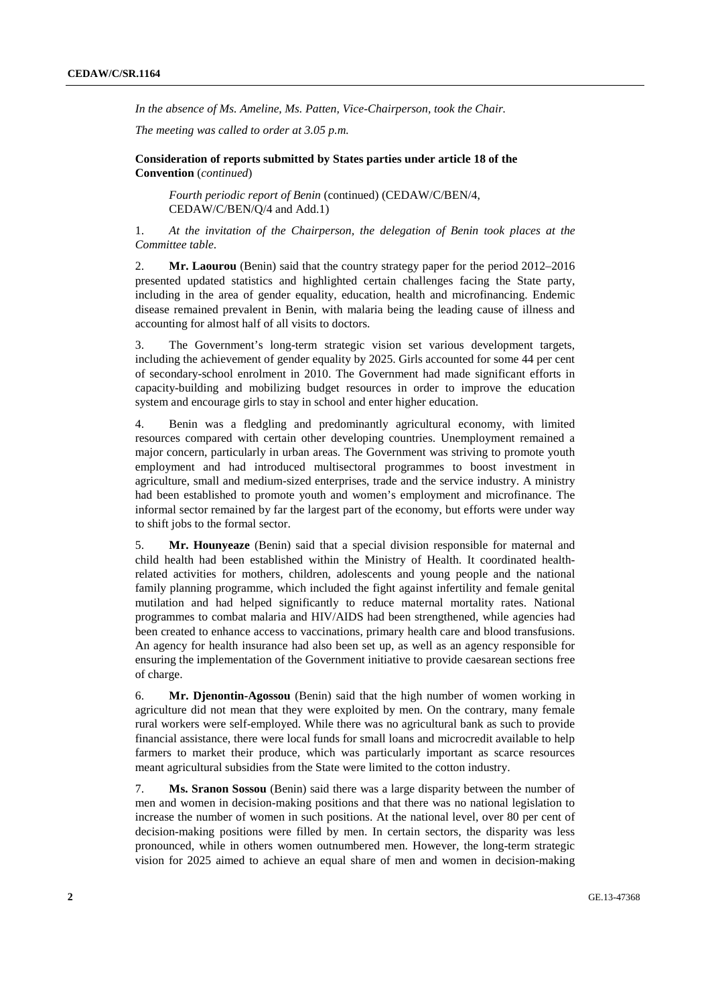*In the absence of Ms. Ameline, Ms. Patten, Vice-Chairperson, took the Chair.* 

*The meeting was called to order at 3.05 p.m.* 

 **Consideration of reports submitted by States parties under article 18 of the Convention** (*continued*)

*Fourth periodic report of Benin* (continued) (CEDAW/C/BEN/4, CEDAW/C/BEN/Q/4 and Add.1)

1. *At the invitation of the Chairperson, the delegation of Benin took places at the Committee table*.

2. **Mr. Laourou** (Benin) said that the country strategy paper for the period 2012–2016 presented updated statistics and highlighted certain challenges facing the State party, including in the area of gender equality, education, health and microfinancing. Endemic disease remained prevalent in Benin, with malaria being the leading cause of illness and accounting for almost half of all visits to doctors.

3. The Government's long-term strategic vision set various development targets, including the achievement of gender equality by 2025. Girls accounted for some 44 per cent of secondary-school enrolment in 2010. The Government had made significant efforts in capacity-building and mobilizing budget resources in order to improve the education system and encourage girls to stay in school and enter higher education.

4. Benin was a fledgling and predominantly agricultural economy, with limited resources compared with certain other developing countries. Unemployment remained a major concern, particularly in urban areas. The Government was striving to promote youth employment and had introduced multisectoral programmes to boost investment in agriculture, small and medium-sized enterprises, trade and the service industry. A ministry had been established to promote youth and women's employment and microfinance. The informal sector remained by far the largest part of the economy, but efforts were under way to shift jobs to the formal sector.

5. **Mr. Hounyeaze** (Benin) said that a special division responsible for maternal and child health had been established within the Ministry of Health. It coordinated healthrelated activities for mothers, children, adolescents and young people and the national family planning programme, which included the fight against infertility and female genital mutilation and had helped significantly to reduce maternal mortality rates. National programmes to combat malaria and HIV/AIDS had been strengthened, while agencies had been created to enhance access to vaccinations, primary health care and blood transfusions. An agency for health insurance had also been set up, as well as an agency responsible for ensuring the implementation of the Government initiative to provide caesarean sections free of charge.

6. **Mr. Djenontin-Agossou** (Benin) said that the high number of women working in agriculture did not mean that they were exploited by men. On the contrary, many female rural workers were self-employed. While there was no agricultural bank as such to provide financial assistance, there were local funds for small loans and microcredit available to help farmers to market their produce, which was particularly important as scarce resources meant agricultural subsidies from the State were limited to the cotton industry.

7. **Ms. Sranon Sossou** (Benin) said there was a large disparity between the number of men and women in decision-making positions and that there was no national legislation to increase the number of women in such positions. At the national level, over 80 per cent of decision-making positions were filled by men. In certain sectors, the disparity was less pronounced, while in others women outnumbered men. However, the long-term strategic vision for 2025 aimed to achieve an equal share of men and women in decision-making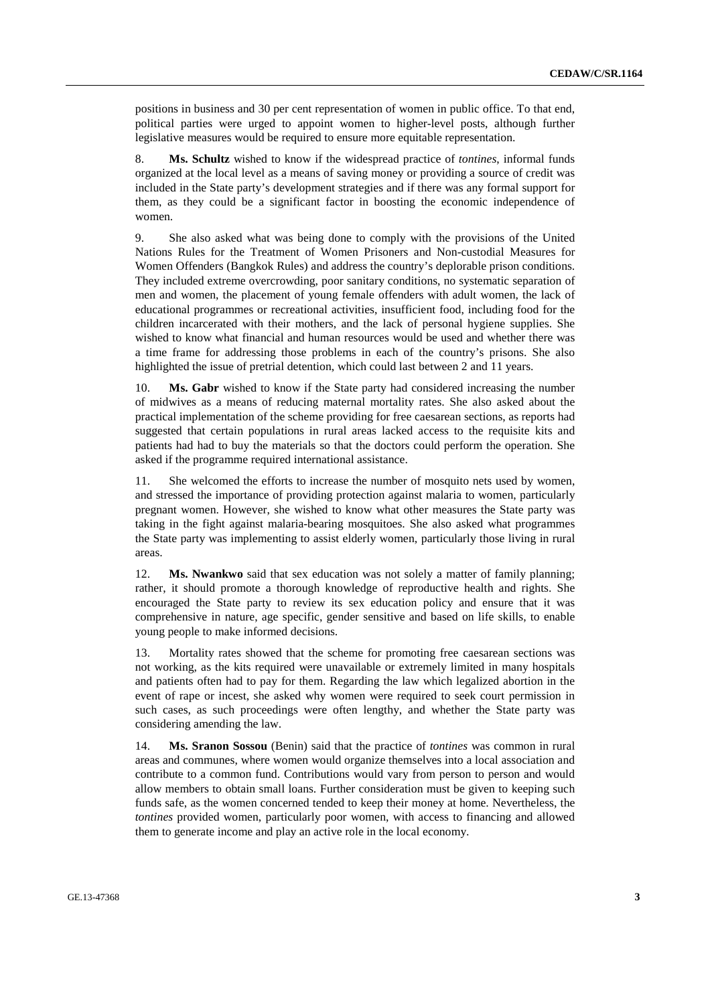positions in business and 30 per cent representation of women in public office. To that end, political parties were urged to appoint women to higher-level posts, although further legislative measures would be required to ensure more equitable representation.

8. **Ms. Schultz** wished to know if the widespread practice of *tontines*, informal funds organized at the local level as a means of saving money or providing a source of credit was included in the State party's development strategies and if there was any formal support for them, as they could be a significant factor in boosting the economic independence of women.

9. She also asked what was being done to comply with the provisions of the United Nations Rules for the Treatment of Women Prisoners and Non-custodial Measures for Women Offenders (Bangkok Rules) and address the country's deplorable prison conditions. They included extreme overcrowding, poor sanitary conditions, no systematic separation of men and women, the placement of young female offenders with adult women, the lack of educational programmes or recreational activities, insufficient food, including food for the children incarcerated with their mothers, and the lack of personal hygiene supplies. She wished to know what financial and human resources would be used and whether there was a time frame for addressing those problems in each of the country's prisons. She also highlighted the issue of pretrial detention, which could last between 2 and 11 years.

10. **Ms. Gabr** wished to know if the State party had considered increasing the number of midwives as a means of reducing maternal mortality rates. She also asked about the practical implementation of the scheme providing for free caesarean sections, as reports had suggested that certain populations in rural areas lacked access to the requisite kits and patients had had to buy the materials so that the doctors could perform the operation. She asked if the programme required international assistance.

11. She welcomed the efforts to increase the number of mosquito nets used by women, and stressed the importance of providing protection against malaria to women, particularly pregnant women. However, she wished to know what other measures the State party was taking in the fight against malaria-bearing mosquitoes. She also asked what programmes the State party was implementing to assist elderly women, particularly those living in rural areas.

12. **Ms. Nwankwo** said that sex education was not solely a matter of family planning; rather, it should promote a thorough knowledge of reproductive health and rights. She encouraged the State party to review its sex education policy and ensure that it was comprehensive in nature, age specific, gender sensitive and based on life skills, to enable young people to make informed decisions.

13. Mortality rates showed that the scheme for promoting free caesarean sections was not working, as the kits required were unavailable or extremely limited in many hospitals and patients often had to pay for them. Regarding the law which legalized abortion in the event of rape or incest, she asked why women were required to seek court permission in such cases, as such proceedings were often lengthy, and whether the State party was considering amending the law.

14. **Ms. Sranon Sossou** (Benin) said that the practice of *tontines* was common in rural areas and communes, where women would organize themselves into a local association and contribute to a common fund. Contributions would vary from person to person and would allow members to obtain small loans. Further consideration must be given to keeping such funds safe, as the women concerned tended to keep their money at home. Nevertheless, the *tontines* provided women, particularly poor women, with access to financing and allowed them to generate income and play an active role in the local economy.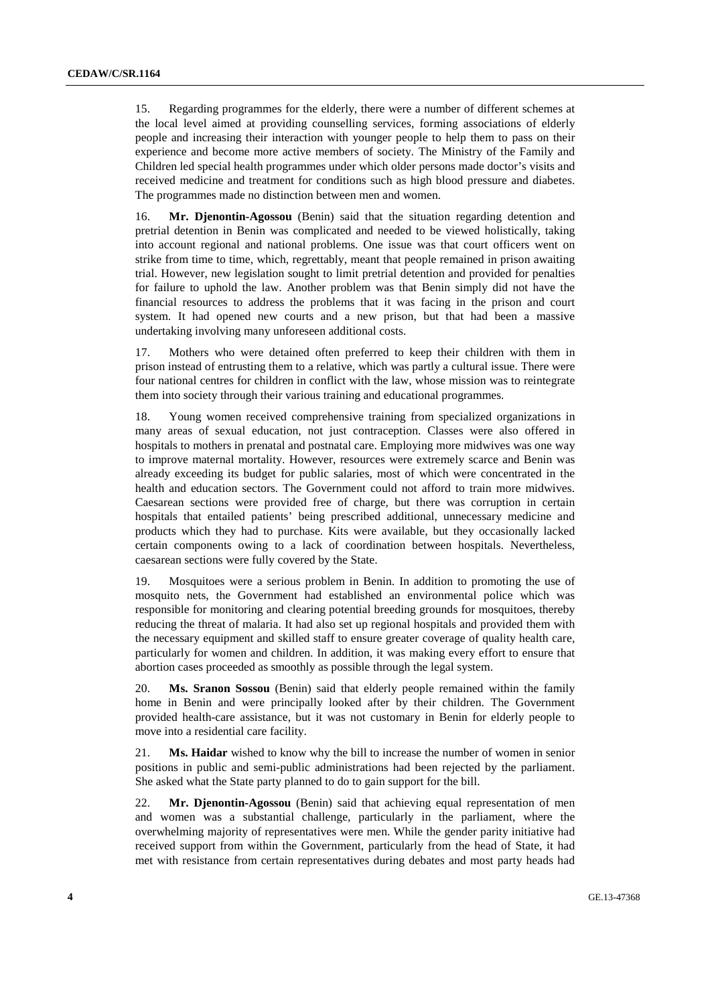15. Regarding programmes for the elderly, there were a number of different schemes at the local level aimed at providing counselling services, forming associations of elderly people and increasing their interaction with younger people to help them to pass on their experience and become more active members of society. The Ministry of the Family and Children led special health programmes under which older persons made doctor's visits and received medicine and treatment for conditions such as high blood pressure and diabetes. The programmes made no distinction between men and women.

16. **Mr. Djenontin-Agossou** (Benin) said that the situation regarding detention and pretrial detention in Benin was complicated and needed to be viewed holistically, taking into account regional and national problems. One issue was that court officers went on strike from time to time, which, regrettably, meant that people remained in prison awaiting trial. However, new legislation sought to limit pretrial detention and provided for penalties for failure to uphold the law. Another problem was that Benin simply did not have the financial resources to address the problems that it was facing in the prison and court system. It had opened new courts and a new prison, but that had been a massive undertaking involving many unforeseen additional costs.

17. Mothers who were detained often preferred to keep their children with them in prison instead of entrusting them to a relative, which was partly a cultural issue. There were four national centres for children in conflict with the law, whose mission was to reintegrate them into society through their various training and educational programmes.

18. Young women received comprehensive training from specialized organizations in many areas of sexual education, not just contraception. Classes were also offered in hospitals to mothers in prenatal and postnatal care. Employing more midwives was one way to improve maternal mortality. However, resources were extremely scarce and Benin was already exceeding its budget for public salaries, most of which were concentrated in the health and education sectors. The Government could not afford to train more midwives. Caesarean sections were provided free of charge, but there was corruption in certain hospitals that entailed patients' being prescribed additional, unnecessary medicine and products which they had to purchase. Kits were available, but they occasionally lacked certain components owing to a lack of coordination between hospitals. Nevertheless, caesarean sections were fully covered by the State.

19. Mosquitoes were a serious problem in Benin. In addition to promoting the use of mosquito nets, the Government had established an environmental police which was responsible for monitoring and clearing potential breeding grounds for mosquitoes, thereby reducing the threat of malaria. It had also set up regional hospitals and provided them with the necessary equipment and skilled staff to ensure greater coverage of quality health care, particularly for women and children. In addition, it was making every effort to ensure that abortion cases proceeded as smoothly as possible through the legal system.

20. **Ms. Sranon Sossou** (Benin) said that elderly people remained within the family home in Benin and were principally looked after by their children. The Government provided health-care assistance, but it was not customary in Benin for elderly people to move into a residential care facility.

21. **Ms. Haidar** wished to know why the bill to increase the number of women in senior positions in public and semi-public administrations had been rejected by the parliament. She asked what the State party planned to do to gain support for the bill.

22. **Mr. Djenontin-Agossou** (Benin) said that achieving equal representation of men and women was a substantial challenge, particularly in the parliament, where the overwhelming majority of representatives were men. While the gender parity initiative had received support from within the Government, particularly from the head of State, it had met with resistance from certain representatives during debates and most party heads had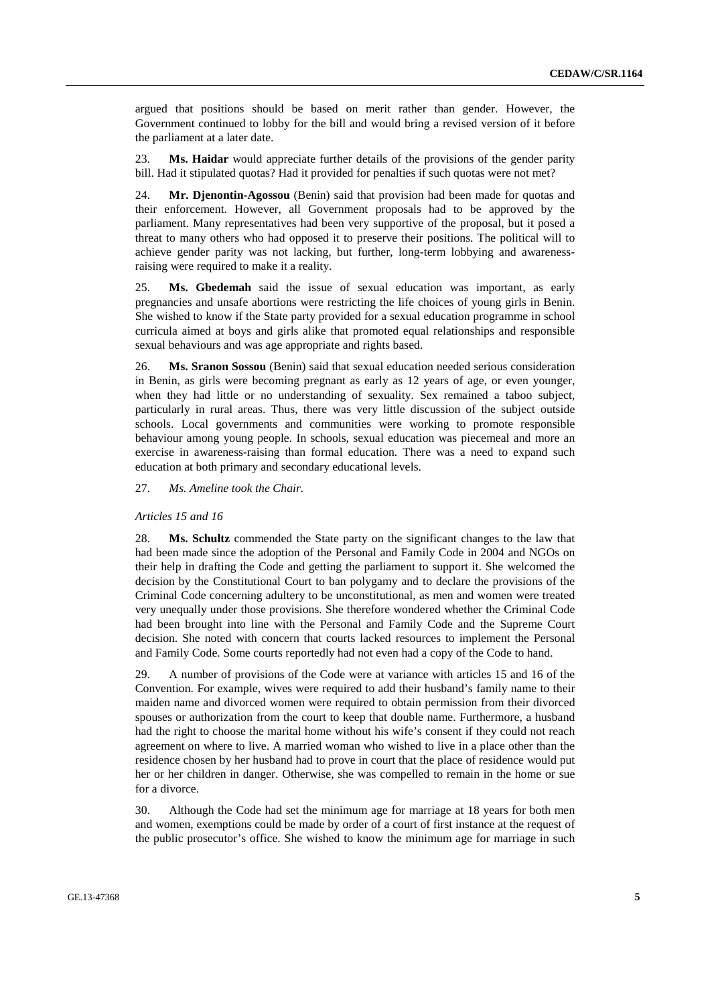argued that positions should be based on merit rather than gender. However, the Government continued to lobby for the bill and would bring a revised version of it before the parliament at a later date.

23. **Ms. Haidar** would appreciate further details of the provisions of the gender parity bill. Had it stipulated quotas? Had it provided for penalties if such quotas were not met?

24. **Mr. Djenontin-Agossou** (Benin) said that provision had been made for quotas and their enforcement. However, all Government proposals had to be approved by the parliament. Many representatives had been very supportive of the proposal, but it posed a threat to many others who had opposed it to preserve their positions. The political will to achieve gender parity was not lacking, but further, long-term lobbying and awarenessraising were required to make it a reality.

25. **Ms. Gbedemah** said the issue of sexual education was important, as early pregnancies and unsafe abortions were restricting the life choices of young girls in Benin. She wished to know if the State party provided for a sexual education programme in school curricula aimed at boys and girls alike that promoted equal relationships and responsible sexual behaviours and was age appropriate and rights based.

26. **Ms. Sranon Sossou** (Benin) said that sexual education needed serious consideration in Benin, as girls were becoming pregnant as early as 12 years of age, or even younger, when they had little or no understanding of sexuality. Sex remained a taboo subject, particularly in rural areas. Thus, there was very little discussion of the subject outside schools. Local governments and communities were working to promote responsible behaviour among young people. In schools, sexual education was piecemeal and more an exercise in awareness-raising than formal education. There was a need to expand such education at both primary and secondary educational levels.

27. *Ms. Ameline took the Chair.* 

## *Articles 15 and 16*

28. **Ms. Schultz** commended the State party on the significant changes to the law that had been made since the adoption of the Personal and Family Code in 2004 and NGOs on their help in drafting the Code and getting the parliament to support it. She welcomed the decision by the Constitutional Court to ban polygamy and to declare the provisions of the Criminal Code concerning adultery to be unconstitutional, as men and women were treated very unequally under those provisions. She therefore wondered whether the Criminal Code had been brought into line with the Personal and Family Code and the Supreme Court decision. She noted with concern that courts lacked resources to implement the Personal and Family Code. Some courts reportedly had not even had a copy of the Code to hand.

29. A number of provisions of the Code were at variance with articles 15 and 16 of the Convention. For example, wives were required to add their husband's family name to their maiden name and divorced women were required to obtain permission from their divorced spouses or authorization from the court to keep that double name. Furthermore, a husband had the right to choose the marital home without his wife's consent if they could not reach agreement on where to live. A married woman who wished to live in a place other than the residence chosen by her husband had to prove in court that the place of residence would put her or her children in danger. Otherwise, she was compelled to remain in the home or sue for a divorce.

30. Although the Code had set the minimum age for marriage at 18 years for both men and women, exemptions could be made by order of a court of first instance at the request of the public prosecutor's office. She wished to know the minimum age for marriage in such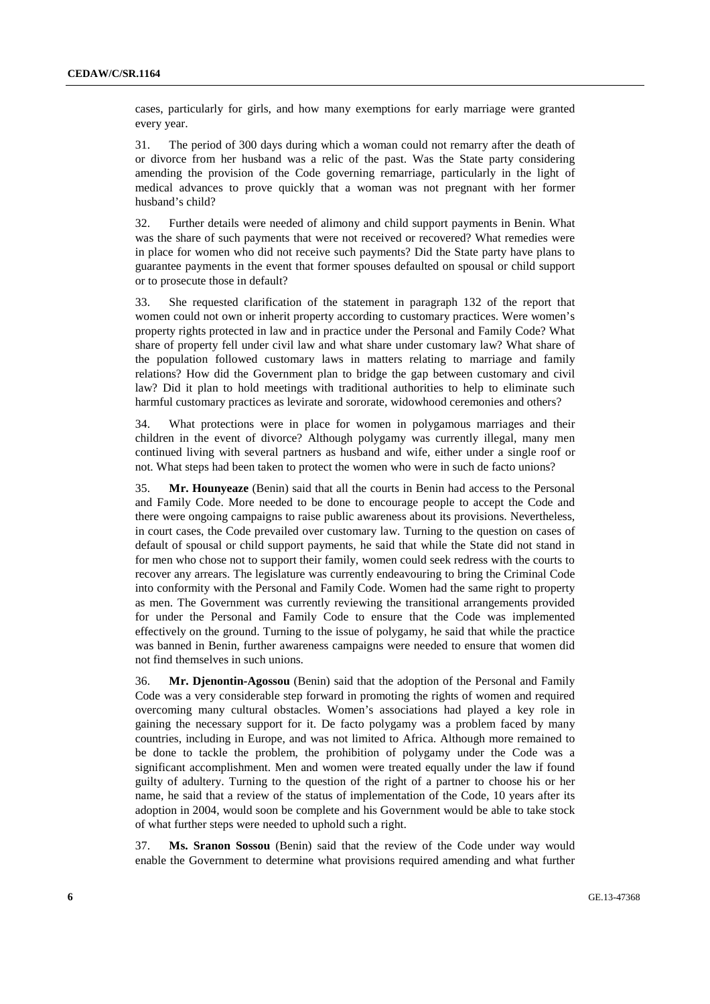cases, particularly for girls, and how many exemptions for early marriage were granted every year.

31. The period of 300 days during which a woman could not remarry after the death of or divorce from her husband was a relic of the past. Was the State party considering amending the provision of the Code governing remarriage, particularly in the light of medical advances to prove quickly that a woman was not pregnant with her former husband's child?

32. Further details were needed of alimony and child support payments in Benin. What was the share of such payments that were not received or recovered? What remedies were in place for women who did not receive such payments? Did the State party have plans to guarantee payments in the event that former spouses defaulted on spousal or child support or to prosecute those in default?

33. She requested clarification of the statement in paragraph 132 of the report that women could not own or inherit property according to customary practices. Were women's property rights protected in law and in practice under the Personal and Family Code? What share of property fell under civil law and what share under customary law? What share of the population followed customary laws in matters relating to marriage and family relations? How did the Government plan to bridge the gap between customary and civil law? Did it plan to hold meetings with traditional authorities to help to eliminate such harmful customary practices as levirate and sororate, widowhood ceremonies and others?

34. What protections were in place for women in polygamous marriages and their children in the event of divorce? Although polygamy was currently illegal, many men continued living with several partners as husband and wife, either under a single roof or not. What steps had been taken to protect the women who were in such de facto unions?

35. **Mr. Hounyeaze** (Benin) said that all the courts in Benin had access to the Personal and Family Code. More needed to be done to encourage people to accept the Code and there were ongoing campaigns to raise public awareness about its provisions. Nevertheless, in court cases, the Code prevailed over customary law. Turning to the question on cases of default of spousal or child support payments, he said that while the State did not stand in for men who chose not to support their family, women could seek redress with the courts to recover any arrears. The legislature was currently endeavouring to bring the Criminal Code into conformity with the Personal and Family Code. Women had the same right to property as men. The Government was currently reviewing the transitional arrangements provided for under the Personal and Family Code to ensure that the Code was implemented effectively on the ground. Turning to the issue of polygamy, he said that while the practice was banned in Benin, further awareness campaigns were needed to ensure that women did not find themselves in such unions.

36. **Mr. Djenontin-Agossou** (Benin) said that the adoption of the Personal and Family Code was a very considerable step forward in promoting the rights of women and required overcoming many cultural obstacles. Women's associations had played a key role in gaining the necessary support for it. De facto polygamy was a problem faced by many countries, including in Europe, and was not limited to Africa. Although more remained to be done to tackle the problem, the prohibition of polygamy under the Code was a significant accomplishment. Men and women were treated equally under the law if found guilty of adultery. Turning to the question of the right of a partner to choose his or her name, he said that a review of the status of implementation of the Code, 10 years after its adoption in 2004, would soon be complete and his Government would be able to take stock of what further steps were needed to uphold such a right.

37. **Ms. Sranon Sossou** (Benin) said that the review of the Code under way would enable the Government to determine what provisions required amending and what further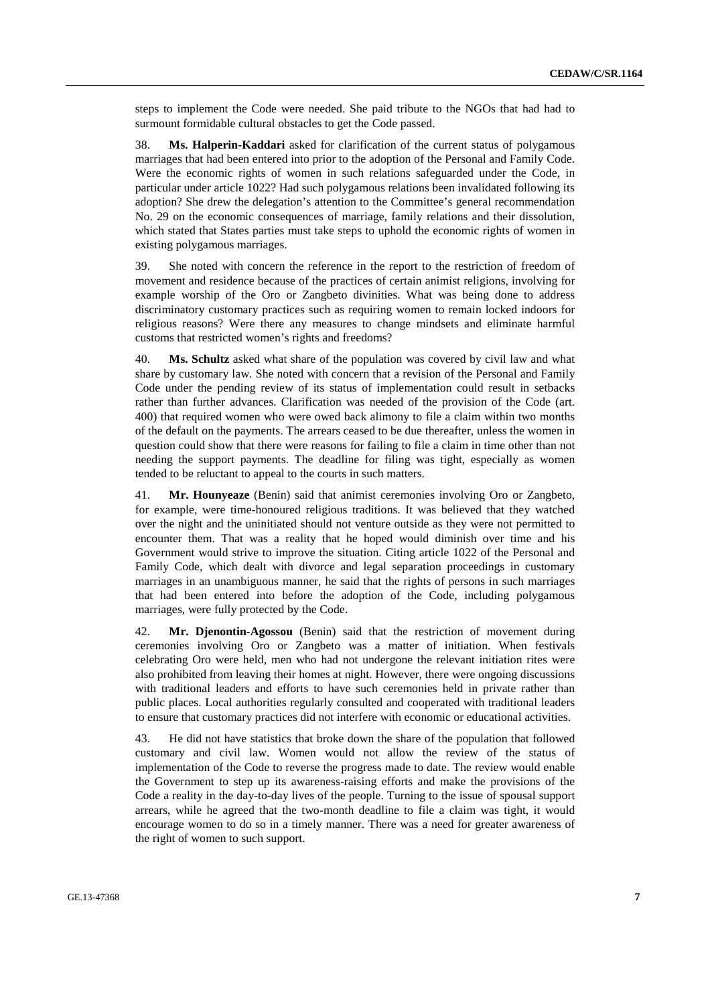steps to implement the Code were needed. She paid tribute to the NGOs that had had to surmount formidable cultural obstacles to get the Code passed.

38. **Ms. Halperin-Kaddari** asked for clarification of the current status of polygamous marriages that had been entered into prior to the adoption of the Personal and Family Code. Were the economic rights of women in such relations safeguarded under the Code, in particular under article 1022? Had such polygamous relations been invalidated following its adoption? She drew the delegation's attention to the Committee's general recommendation No. 29 on the economic consequences of marriage, family relations and their dissolution, which stated that States parties must take steps to uphold the economic rights of women in existing polygamous marriages.

39. She noted with concern the reference in the report to the restriction of freedom of movement and residence because of the practices of certain animist religions, involving for example worship of the Oro or Zangbeto divinities. What was being done to address discriminatory customary practices such as requiring women to remain locked indoors for religious reasons? Were there any measures to change mindsets and eliminate harmful customs that restricted women's rights and freedoms?

40. **Ms. Schultz** asked what share of the population was covered by civil law and what share by customary law. She noted with concern that a revision of the Personal and Family Code under the pending review of its status of implementation could result in setbacks rather than further advances. Clarification was needed of the provision of the Code (art. 400) that required women who were owed back alimony to file a claim within two months of the default on the payments. The arrears ceased to be due thereafter, unless the women in question could show that there were reasons for failing to file a claim in time other than not needing the support payments. The deadline for filing was tight, especially as women tended to be reluctant to appeal to the courts in such matters.

41. **Mr. Hounyeaze** (Benin) said that animist ceremonies involving Oro or Zangbeto, for example, were time-honoured religious traditions. It was believed that they watched over the night and the uninitiated should not venture outside as they were not permitted to encounter them. That was a reality that he hoped would diminish over time and his Government would strive to improve the situation. Citing article 1022 of the Personal and Family Code, which dealt with divorce and legal separation proceedings in customary marriages in an unambiguous manner, he said that the rights of persons in such marriages that had been entered into before the adoption of the Code, including polygamous marriages, were fully protected by the Code.

42. **Mr. Djenontin-Agossou** (Benin) said that the restriction of movement during ceremonies involving Oro or Zangbeto was a matter of initiation. When festivals celebrating Oro were held, men who had not undergone the relevant initiation rites were also prohibited from leaving their homes at night. However, there were ongoing discussions with traditional leaders and efforts to have such ceremonies held in private rather than public places. Local authorities regularly consulted and cooperated with traditional leaders to ensure that customary practices did not interfere with economic or educational activities.

43. He did not have statistics that broke down the share of the population that followed customary and civil law. Women would not allow the review of the status of implementation of the Code to reverse the progress made to date. The review would enable the Government to step up its awareness-raising efforts and make the provisions of the Code a reality in the day-to-day lives of the people. Turning to the issue of spousal support arrears, while he agreed that the two-month deadline to file a claim was tight, it would encourage women to do so in a timely manner. There was a need for greater awareness of the right of women to such support.